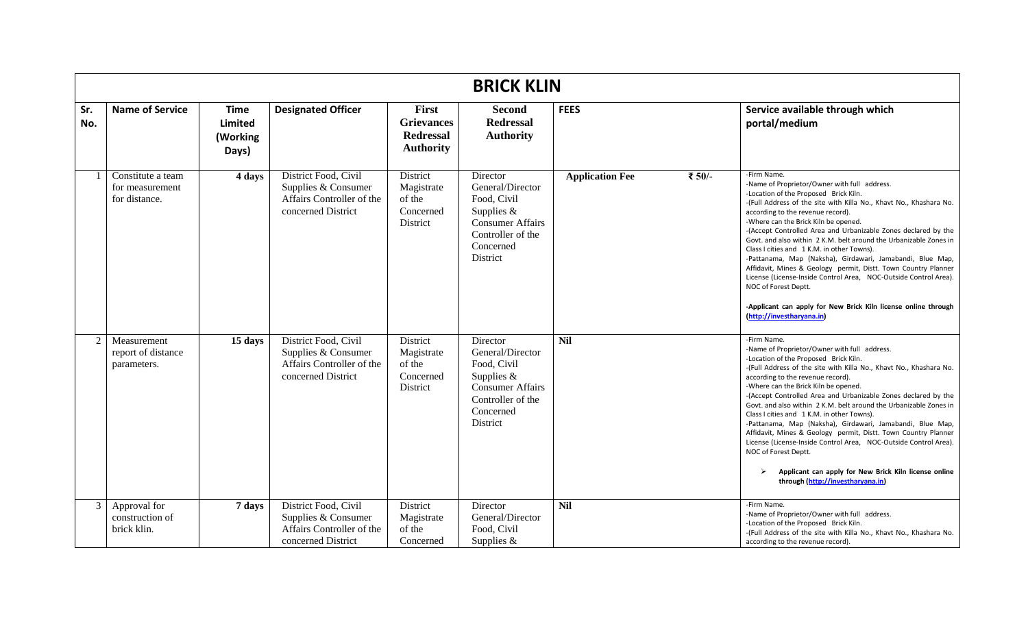|            | <b>BRICK KLIN</b>                                     |                                                    |                                                                                                |                                                                    |                                                                                                                                      |                        |        |                                                                                                                                                                                                                                                                                                                                                                                                                                                                                                                                                                                                                                                                                                                                                                            |  |  |
|------------|-------------------------------------------------------|----------------------------------------------------|------------------------------------------------------------------------------------------------|--------------------------------------------------------------------|--------------------------------------------------------------------------------------------------------------------------------------|------------------------|--------|----------------------------------------------------------------------------------------------------------------------------------------------------------------------------------------------------------------------------------------------------------------------------------------------------------------------------------------------------------------------------------------------------------------------------------------------------------------------------------------------------------------------------------------------------------------------------------------------------------------------------------------------------------------------------------------------------------------------------------------------------------------------------|--|--|
| Sr.<br>No. | <b>Name of Service</b>                                | <b>Time</b><br><b>Limited</b><br>(Working<br>Days) | <b>Designated Officer</b>                                                                      | First<br><b>Grievances</b><br><b>Redressal</b><br><b>Authority</b> | <b>Second</b><br><b>Redressal</b><br><b>Authority</b>                                                                                | <b>FEES</b>            |        | Service available through which<br>portal/medium                                                                                                                                                                                                                                                                                                                                                                                                                                                                                                                                                                                                                                                                                                                           |  |  |
|            | Constitute a team<br>for measurement<br>for distance. | 4 days                                             | District Food, Civil<br>Supplies & Consumer<br>Affairs Controller of the<br>concerned District | <b>District</b><br>Magistrate<br>of the<br>Concerned<br>District   | Director<br>General/Director<br>Food, Civil<br>Supplies $&$<br><b>Consumer Affairs</b><br>Controller of the<br>Concerned<br>District | <b>Application Fee</b> | ₹ 50/- | -Firm Name.<br>-Name of Proprietor/Owner with full address.<br>-Location of the Proposed Brick Kiln.<br>-(Full Address of the site with Killa No., Khavt No., Khashara No.<br>according to the revenue record).<br>-Where can the Brick Kiln be opened.<br>-(Accept Controlled Area and Urbanizable Zones declared by the<br>Govt. and also within 2 K.M. belt around the Urbanizable Zones in<br>Class I cities and 1 K.M. in other Towns).<br>-Pattanama, Map (Naksha), Girdawari, Jamabandi, Blue Map,<br>Affidavit, Mines & Geology permit, Distt. Town Country Planner<br>License (License-Inside Control Area, NOC-Outside Control Area).<br>NOC of Forest Deptt.<br>-Applicant can apply for New Brick Kiln license online through<br>(http://investharyana.in)     |  |  |
| 2          | Measurement<br>report of distance<br>parameters.      | 15 days                                            | District Food, Civil<br>Supplies & Consumer<br>Affairs Controller of the<br>concerned District | District<br>Magistrate<br>of the<br>Concerned<br>District          | Director<br>General/Director<br>Food, Civil<br>Supplies $&$<br><b>Consumer Affairs</b><br>Controller of the<br>Concerned<br>District | <b>Nil</b>             |        | -Firm Name.<br>-Name of Proprietor/Owner with full address.<br>-Location of the Proposed Brick Kiln.<br>-(Full Address of the site with Killa No., Khavt No., Khashara No.<br>according to the revenue record).<br>-Where can the Brick Kiln be opened.<br>-(Accept Controlled Area and Urbanizable Zones declared by the<br>Govt. and also within 2 K.M. belt around the Urbanizable Zones in<br>Class I cities and 1 K.M. in other Towns).<br>-Pattanama, Map (Naksha), Girdawari, Jamabandi, Blue Map,<br>Affidavit, Mines & Geology permit, Distt. Town Country Planner<br>License (License-Inside Control Area, NOC-Outside Control Area).<br>NOC of Forest Deptt.<br>Applicant can apply for New Brick Kiln license online<br>➤<br>through (http://investharyana.in) |  |  |
| 3          | Approval for<br>construction of<br>brick klin.        | 7 days                                             | District Food, Civil<br>Supplies & Consumer<br>Affairs Controller of the<br>concerned District | District<br>Magistrate<br>of the<br>Concerned                      | Director<br>General/Director<br>Food, Civil<br>Supplies &                                                                            | Nil                    |        | -Firm Name.<br>-Name of Proprietor/Owner with full address.<br>-Location of the Proposed Brick Kiln.<br>-(Full Address of the site with Killa No., Khavt No., Khashara No.<br>according to the revenue record).                                                                                                                                                                                                                                                                                                                                                                                                                                                                                                                                                            |  |  |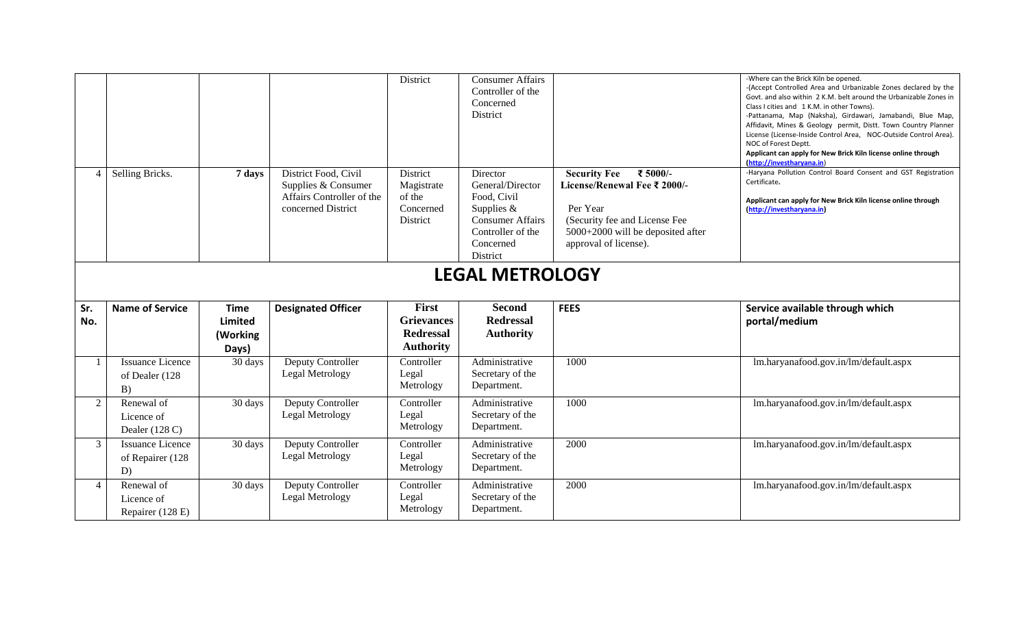|                |                                                   |                                           |                                                                                                | District                                                           | <b>Consumer Affairs</b><br>Controller of the<br>Concerned<br>District                                                              |                                                                                                                                                                            | -Where can the Brick Kiln be opened.<br>-(Accept Controlled Area and Urbanizable Zones declared by the<br>Govt. and also within 2 K.M. belt around the Urbanizable Zones in<br>Class I cities and 1 K.M. in other Towns).<br>-Pattanama, Map (Naksha), Girdawari, Jamabandi, Blue Map,<br>Affidavit, Mines & Geology permit, Distt. Town Country Planner<br>License (License-Inside Control Area, NOC-Outside Control Area).<br>NOC of Forest Deptt.<br>Applicant can apply for New Brick Kiln license online through<br>(http://investharyana.in) |
|----------------|---------------------------------------------------|-------------------------------------------|------------------------------------------------------------------------------------------------|--------------------------------------------------------------------|------------------------------------------------------------------------------------------------------------------------------------|----------------------------------------------------------------------------------------------------------------------------------------------------------------------------|----------------------------------------------------------------------------------------------------------------------------------------------------------------------------------------------------------------------------------------------------------------------------------------------------------------------------------------------------------------------------------------------------------------------------------------------------------------------------------------------------------------------------------------------------|
|                | Selling Bricks.                                   | 7 days                                    | District Food, Civil<br>Supplies & Consumer<br>Affairs Controller of the<br>concerned District | District<br>Magistrate<br>of the<br>Concerned<br>District          | Director<br>General/Director<br>Food, Civil<br>Supplies &<br><b>Consumer Affairs</b><br>Controller of the<br>Concerned<br>District | <b>Security Fee</b><br>₹ 5000/-<br>License/Renewal Fee ₹ 2000/-<br>Per Year<br>(Security fee and License Fee<br>5000+2000 will be deposited after<br>approval of license). | -Haryana Pollution Control Board Consent and GST Registration<br>Certificate.<br>Applicant can apply for New Brick Kiln license online through<br>(http://investharyana.in)                                                                                                                                                                                                                                                                                                                                                                        |
|                |                                                   |                                           |                                                                                                |                                                                    | <b>LEGAL METROLOGY</b>                                                                                                             |                                                                                                                                                                            |                                                                                                                                                                                                                                                                                                                                                                                                                                                                                                                                                    |
|                |                                                   |                                           |                                                                                                |                                                                    |                                                                                                                                    |                                                                                                                                                                            |                                                                                                                                                                                                                                                                                                                                                                                                                                                                                                                                                    |
| Sr.<br>No.     | <b>Name of Service</b>                            | <b>Time</b><br><b>Limited</b><br>(Working | <b>Designated Officer</b>                                                                      | First<br><b>Grievances</b><br><b>Redressal</b><br><b>Authority</b> | <b>Second</b><br><b>Redressal</b><br><b>Authority</b>                                                                              | <b>FEES</b>                                                                                                                                                                | Service available through which<br>portal/medium                                                                                                                                                                                                                                                                                                                                                                                                                                                                                                   |
|                | <b>Issuance Licence</b><br>of Dealer (128<br>B)   | Days)<br>$\overline{30}$ days             | Deputy Controller<br>Legal Metrology                                                           | Controller<br>Legal<br>Metrology                                   | Administrative<br>Secretary of the<br>Department.                                                                                  | 1000                                                                                                                                                                       | lm.haryanafood.gov.in/lm/default.aspx                                                                                                                                                                                                                                                                                                                                                                                                                                                                                                              |
| $\overline{2}$ | Renewal of<br>Licence of<br>Dealer (128 C)        | 30 days                                   | Deputy Controller<br>Legal Metrology                                                           | Controller<br>Legal<br>Metrology                                   | Administrative<br>Secretary of the<br>Department.                                                                                  | 1000                                                                                                                                                                       | lm.haryanafood.gov.in/lm/default.aspx                                                                                                                                                                                                                                                                                                                                                                                                                                                                                                              |
| 3              | <b>Issuance Licence</b><br>of Repairer (128<br>D) | 30 days                                   | Deputy Controller<br>Legal Metrology                                                           | Controller<br>Legal<br>Metrology                                   | Administrative<br>Secretary of the<br>Department.                                                                                  | 2000                                                                                                                                                                       | lm.haryanafood.gov.in/lm/default.aspx                                                                                                                                                                                                                                                                                                                                                                                                                                                                                                              |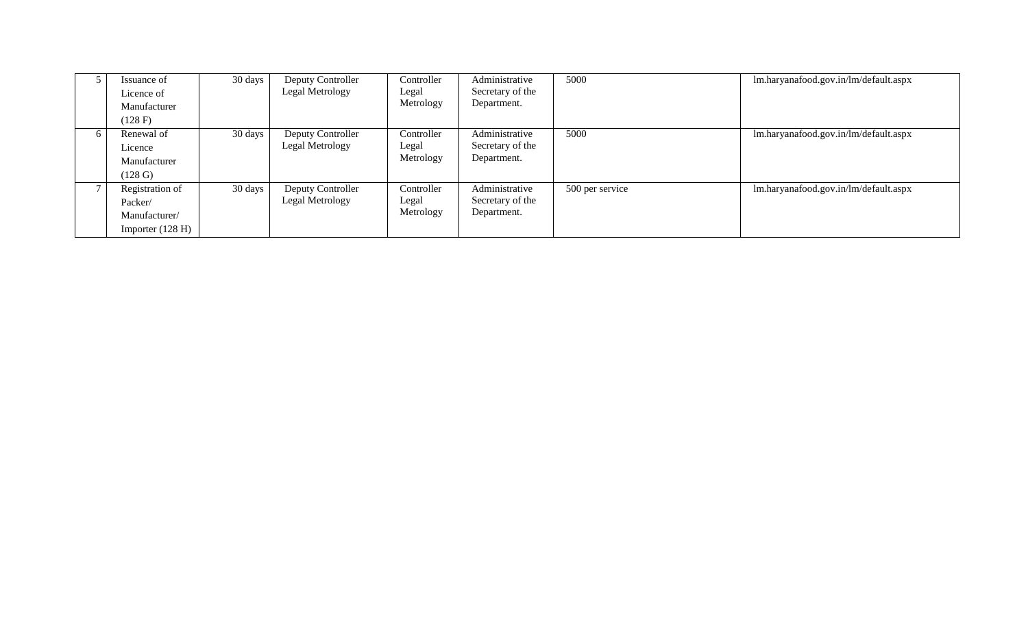|          | Issuance of<br>Licence of<br>Manufacturer | 30 days | Deputy Controller<br>Legal Metrology | Controller<br>Legal<br>Metrology | Administrative<br>Secretary of the<br>Department. | 5000            | lm.haryanafood.gov.in/lm/default.aspx |
|----------|-------------------------------------------|---------|--------------------------------------|----------------------------------|---------------------------------------------------|-----------------|---------------------------------------|
|          | (128 F)                                   |         |                                      |                                  |                                                   |                 |                                       |
| $\sigma$ | Renewal of                                | 30 days | Deputy Controller                    | Controller                       | Administrative                                    | 5000            | lm.haryanafood.gov.in/lm/default.aspx |
|          | Licence                                   |         | Legal Metrology                      | Legal                            | Secretary of the                                  |                 |                                       |
|          | Manufacturer                              |         |                                      | Metrology                        | Department.                                       |                 |                                       |
|          | $(128 \text{ G})$                         |         |                                      |                                  |                                                   |                 |                                       |
|          | Registration of                           | 30 days | Deputy Controller                    | Controller                       | Administrative                                    | 500 per service | lm.haryanafood.gov.in/lm/default.aspx |
|          | Packer/                                   |         | Legal Metrology                      | Legal                            | Secretary of the                                  |                 |                                       |
|          | Manufacturer/                             |         |                                      | Metrology                        | Department.                                       |                 |                                       |
|          | Importer $(128 H)$                        |         |                                      |                                  |                                                   |                 |                                       |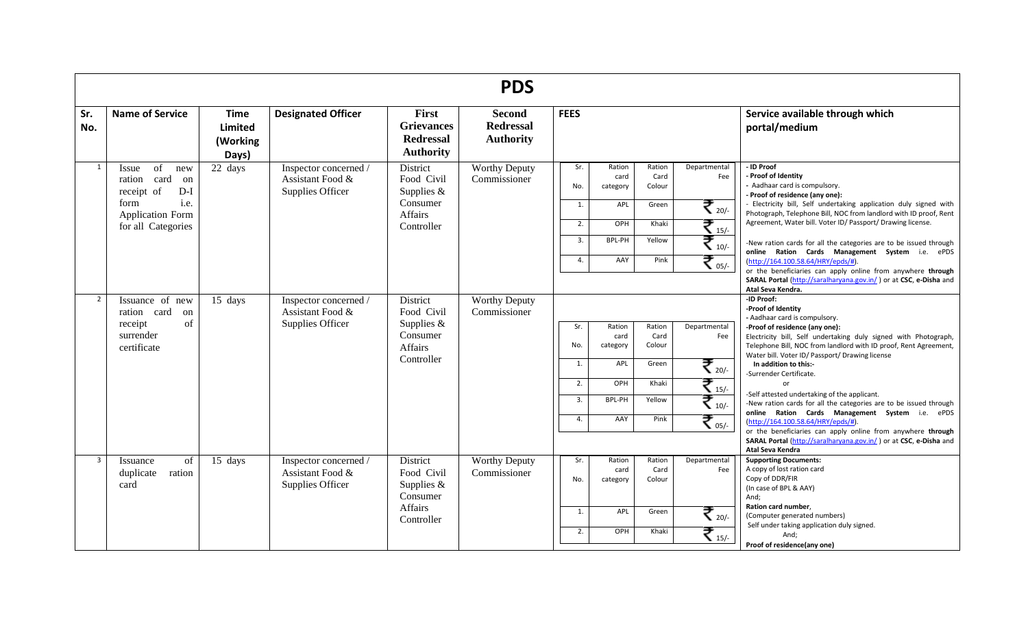|                |                                                                   |                                                    |                                                               |                                                                           | <b>PDS</b>                                            |             |                            |                          |                     |                                                                                                                                                                                        |
|----------------|-------------------------------------------------------------------|----------------------------------------------------|---------------------------------------------------------------|---------------------------------------------------------------------------|-------------------------------------------------------|-------------|----------------------------|--------------------------|---------------------|----------------------------------------------------------------------------------------------------------------------------------------------------------------------------------------|
| Sr.<br>No.     | <b>Name of Service</b>                                            | <b>Time</b><br><b>Limited</b><br>(Working<br>Days) | <b>Designated Officer</b>                                     | <b>First</b><br><b>Grievances</b><br><b>Redressal</b><br><b>Authority</b> | <b>Second</b><br><b>Redressal</b><br><b>Authority</b> | <b>FEES</b> |                            |                          |                     | Service available through which<br>portal/medium                                                                                                                                       |
| 1              | of<br>Issue<br>new<br>card<br>ration<br>on<br>receipt of<br>$D-I$ | 22 days                                            | Inspector concerned /<br>Assistant Food &<br>Supplies Officer | District<br>Food Civil<br>Supplies $&$                                    | <b>Worthy Deputy</b><br>Commissioner                  | Sr.<br>No.  | Ration<br>card<br>category | Ration<br>Card<br>Colour | Departmental<br>Fee | - ID Proof<br>- Proof of Identity<br>- Aadhaar card is compulsory.<br>- Proof of residence (any one):                                                                                  |
|                | i.e.<br>form<br><b>Application Form</b><br>for all Categories     |                                                    |                                                               | Consumer<br><b>Affairs</b><br>Controller                                  |                                                       | 1.          | APL                        | Green                    | ₹.∞                 | - Electricity bill, Self undertaking application duly signed with<br>Photograph, Telephone Bill, NOC from landlord with ID proof, Rent                                                 |
|                |                                                                   |                                                    |                                                               |                                                                           |                                                       | 2.          | OPH                        | Khaki                    | ₹.,                 | Agreement, Water bill. Voter ID/ Passport/ Drawing license.                                                                                                                            |
|                |                                                                   |                                                    |                                                               |                                                                           |                                                       | 3.          | BPL-PH                     | Yellow                   | ₹ 10/               | -New ration cards for all the categories are to be issued through<br>online Ration Cards Management System i.e. ePDS                                                                   |
|                |                                                                   |                                                    |                                                               |                                                                           |                                                       | 4.          | AAY                        | Pink                     | ₹.                  | (http://164.100.58.64/HRY/epds/#).<br>or the beneficiaries can apply online from anywhere through                                                                                      |
|                |                                                                   |                                                    |                                                               |                                                                           |                                                       |             |                            |                          |                     | SARAL Portal (http://saralharyana.gov.in/) or at CSC, e-Disha and<br>Atal Seva Kendra.                                                                                                 |
| $\overline{2}$ | Issuance of new<br>ration card<br>on                              | 15 days                                            | Inspector concerned /<br>Assistant Food &                     | District<br>Food Civil                                                    | <b>Worthy Deputy</b><br>Commissioner                  |             |                            |                          |                     | -ID Proof:<br>-Proof of Identity<br>- Aadhaar card is compulsory.                                                                                                                      |
|                | of<br>receipt                                                     |                                                    | Supplies Officer                                              | Supplies $&$                                                              |                                                       | Sr.         | Ration                     | Ration                   | Departmental        | -Proof of residence (any one):                                                                                                                                                         |
|                | surrender<br>certificate                                          |                                                    |                                                               | Consumer<br>Affairs                                                       |                                                       | No.         | card<br>category           | Card<br>Colour           | Fee                 | Electricity bill, Self undertaking duly signed with Photograph,<br>Telephone Bill, NOC from landlord with ID proof, Rent Agreement,<br>Water bill. Voter ID/ Passport/ Drawing license |
|                |                                                                   |                                                    |                                                               | Controller                                                                |                                                       | 1.          | APL                        | Green                    | ₹ 20/-              | In addition to this:-<br>-Surrender Certificate.                                                                                                                                       |
|                |                                                                   |                                                    |                                                               |                                                                           |                                                       | 2.          | OPH                        | Khaki                    | ₹ 15/-              | $\alpha$ r                                                                                                                                                                             |
|                |                                                                   |                                                    |                                                               |                                                                           |                                                       | 3.          | BPL-PH                     | Yellow                   | ₹ 10/-              | -Self attested undertaking of the applicant.<br>-New ration cards for all the categories are to be issued through                                                                      |
|                |                                                                   |                                                    |                                                               |                                                                           |                                                       | 4.          | AAY                        | Pink                     | ₹.                  | online Ration Cards Management System i.e. ePDS<br>(http://164.100.58.64/HRY/epds/#).<br>or the beneficiaries can apply online from anywhere through                                   |
|                |                                                                   |                                                    |                                                               |                                                                           |                                                       |             |                            |                          |                     | SARAL Portal (http://saralharyana.gov.in/) or at CSC, e-Disha and<br>Atal Seva Kendra                                                                                                  |
| $\overline{3}$ | of<br>Issuance                                                    | 15 days                                            | Inspector concerned /                                         | District                                                                  | <b>Worthy Deputy</b>                                  | Sr.         | Ration                     | Ration                   | Departmental        | <b>Supporting Documents:</b>                                                                                                                                                           |
|                | duplicate<br>ration                                               |                                                    | Assistant Food &                                              | Food Civil                                                                | Commissioner                                          | No.         | card<br>category           | Card<br>Colour           | Fee                 | A copy of lost ration card<br>Copy of DDR/FIR                                                                                                                                          |
|                | card                                                              |                                                    | Supplies Officer                                              | Supplies $&$                                                              |                                                       |             |                            |                          |                     | (In case of BPL & AAY)                                                                                                                                                                 |
|                |                                                                   |                                                    |                                                               | Consumer                                                                  |                                                       |             |                            |                          |                     | And;                                                                                                                                                                                   |
|                |                                                                   |                                                    |                                                               | Affairs                                                                   |                                                       | 1.          | APL                        | Green                    | ₹ 20/-              | Ration card number,<br>(Computer generated numbers)                                                                                                                                    |
|                |                                                                   |                                                    |                                                               | Controller                                                                |                                                       |             |                            |                          |                     | Self under taking application duly signed.                                                                                                                                             |
|                |                                                                   |                                                    |                                                               |                                                                           |                                                       | 2.          | OPH                        | Khaki                    | ₹.,                 | And;                                                                                                                                                                                   |
|                |                                                                   |                                                    |                                                               |                                                                           |                                                       |             |                            |                          |                     | Proof of residence(any one)                                                                                                                                                            |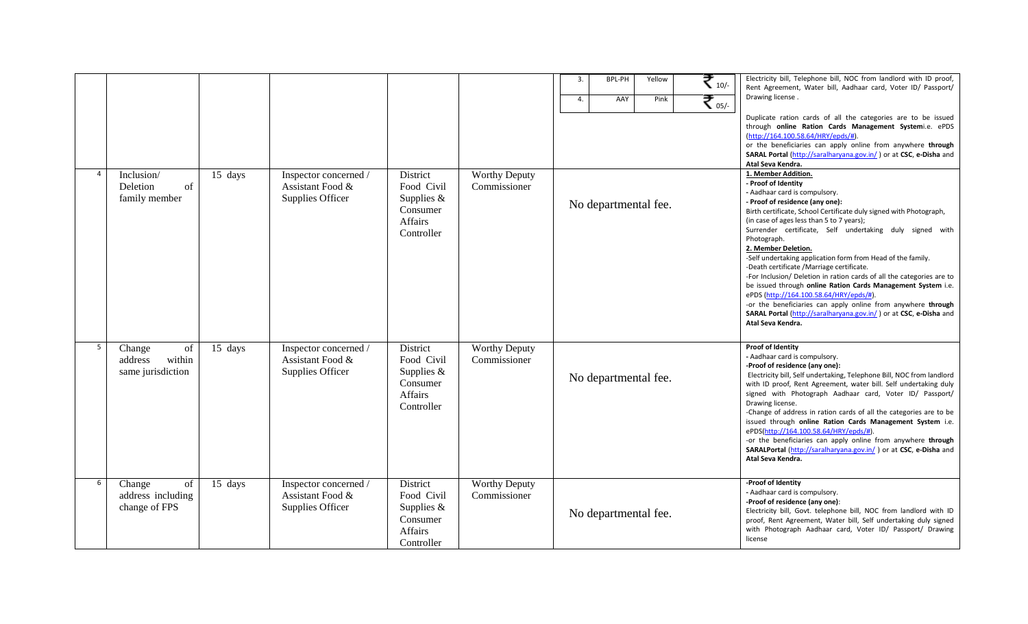| 4              | Inclusion/<br>Deletion<br>of<br>family member          | 15 days | Inspector concerned /<br>Assistant Food &<br>Supplies Officer | District<br>Food Civil<br>Supplies $&$<br>Consumer<br><b>Affairs</b><br>Controller | <b>Worthy Deputy</b><br>Commissioner | BPL-PH<br>₹.,<br>3.<br>Yellow<br>₹.,<br>4.<br>AAY<br>Pink<br>No departmental fee. | Electricity bill, Telephone bill, NOC from landlord with ID proof,<br>Rent Agreement, Water bill, Aadhaar card, Voter ID/ Passport/<br>Drawing license.<br>Duplicate ration cards of all the categories are to be issued<br>through online Ration Cards Management Systemi.e. ePDS<br>(http://164.100.58.64/HRY/epds/#)<br>or the beneficiaries can apply online from anywhere through<br>SARAL Portal (http://saralharyana.gov.in/) or at CSC, e-Disha and<br>Atal Seva Kendra.<br>1. Member Addition.<br>- Proof of Identity<br>- Aadhaar card is compulsory.<br>- Proof of residence (any one):<br>Birth certificate, School Certificate duly signed with Photograph,<br>(in case of ages less than 5 to 7 years);<br>Surrender certificate, Self undertaking duly signed with<br>Photograph.<br>2. Member Deletion.<br>-Self undertaking application form from Head of the family.<br>-Death certificate /Marriage certificate.<br>-For Inclusion/ Deletion in ration cards of all the categories are to<br>be issued through online Ration Cards Management System i.e.<br>ePDS (http://164.100.58.64/HRY/epds/#).<br>-or the beneficiaries can apply online from anywhere through |
|----------------|--------------------------------------------------------|---------|---------------------------------------------------------------|------------------------------------------------------------------------------------|--------------------------------------|-----------------------------------------------------------------------------------|-----------------------------------------------------------------------------------------------------------------------------------------------------------------------------------------------------------------------------------------------------------------------------------------------------------------------------------------------------------------------------------------------------------------------------------------------------------------------------------------------------------------------------------------------------------------------------------------------------------------------------------------------------------------------------------------------------------------------------------------------------------------------------------------------------------------------------------------------------------------------------------------------------------------------------------------------------------------------------------------------------------------------------------------------------------------------------------------------------------------------------------------------------------------------------------------|
| 5 <sub>5</sub> | Change<br>of<br>address<br>within<br>same jurisdiction | 15 days | Inspector concerned /<br>Assistant Food &<br>Supplies Officer | District<br>Food Civil<br>Supplies $&$<br>Consumer<br>Affairs<br>Controller        | <b>Worthy Deputy</b><br>Commissioner | No departmental fee.                                                              | SARAL Portal (http://saralharyana.gov.in/) or at CSC, e-Disha and<br>Atal Seva Kendra.<br><b>Proof of Identity</b><br>- Aadhaar card is compulsory.<br>-Proof of residence (any one):<br>Electricity bill, Self undertaking, Telephone Bill, NOC from landlord<br>with ID proof, Rent Agreement, water bill. Self undertaking duly<br>signed with Photograph Aadhaar card, Voter ID/ Passport/<br>Drawing license.<br>-Change of address in ration cards of all the categories are to be<br>issued through online Ration Cards Management System i.e.<br>ePDS(http://164.100.58.64/HRY/epds/#).<br>-or the beneficiaries can apply online from anywhere through<br>SARALPortal (http://saralharyana.gov.in/) or at CSC, e-Disha and<br>Atal Seva Kendra.                                                                                                                                                                                                                                                                                                                                                                                                                                |
| 6              | Change<br>of<br>address including<br>change of FPS     | 15 days | Inspector concerned /<br>Assistant Food &<br>Supplies Officer | District<br>Food Civil<br>Supplies $&$<br>Consumer<br>Affairs<br>Controller        | Worthy Deputy<br>Commissioner        | No departmental fee.                                                              | -Proof of Identity<br>- Aadhaar card is compulsory.<br>-Proof of residence (any one):<br>Electricity bill, Govt. telephone bill, NOC from landlord with ID<br>proof, Rent Agreement, Water bill, Self undertaking duly signed<br>with Photograph Aadhaar card, Voter ID/ Passport/ Drawing<br>license                                                                                                                                                                                                                                                                                                                                                                                                                                                                                                                                                                                                                                                                                                                                                                                                                                                                                   |